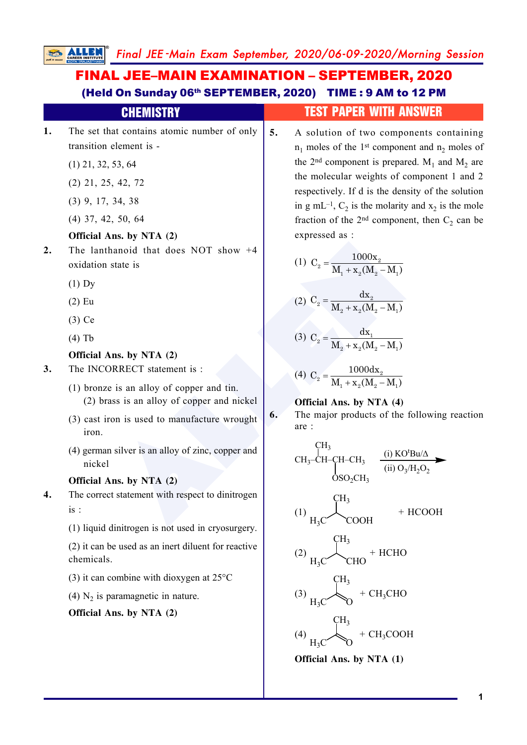#### All that does NOT show +4<br>
state is<br>  $\begin{pmatrix}\n1 & 0.2 = \frac{1000x_2}{M_1 + x_2(M_2 - M_1)}\n\end{pmatrix}$ <br>
(2)  $C_2 = \frac{dx_2}{M_2 + x_2(M_2 - M_1)}$ <br>
(3)  $C_2 = \frac{dx_2}{M_2 + x_2(M_2 - M_1)}$ <br>
(3)  $C_2 = \frac{dx_2}{M_2 + x_2(M_2 - M_1)}$ <br>
(3)  $C_2 = \frac{dx_1}{M_1 + x_2(M_2 - M_1$ **1.** The set that contains atomic number of only transition element is - (1) 21, 32, 53, 64 (2) 21, 25, 42, 72 (3) 9, 17, 34, 38 (4) 37, 42, 50, 64 **Official Ans. by NTA (2) 2.** The lanthanoid that does NOT show +4 oxidation state is (1) Dy (2) Eu (3) Ce (4) Tb **Official Ans. by NTA (2) 3.** The INCORRECT statement is : (1) bronze is an alloy of copper and tin. (2) brass is an alloy of copper and nickel (3) cast iron is used to manufacture wrought iron. (4) german silver is an alloy of zinc, copper and nickel **Official Ans. by NTA (2) 4.** The correct statement with respect to dinitrogen is : (1) liquid dinitrogen is not used in cryosurgery. (2) it can be used as an inert diluent for reactive chemicals. (3) it can combine with dioxygen at 25°C (4)  $N_2$  is paramagnetic in nature. **Official Ans. by NTA (2)** FINAL JEE–MAIN EXAMINATION – SEPTEMBER, 2020 (Held On Sunday 06th SEPTEMBER, 2020) TIME : 9 AM to 12 PM **CHEMISTRY TEST PAPER WITH ANSWER 5.** A solution of two components containing  $n_1$  moles of the 1<sup>st</sup> component and  $n_2$  moles of the 2<sup>nd</sup> component is prepared.  $M_1$  and  $M_2$  are the molecular weights of component 1 and 2 respectively. If d is the density of the solution in g mL<sup>-1</sup>,  $C_2$  is the molarity and  $x_2$  is the mole fraction of the  $2<sup>nd</sup>$  component, then  $C_2$  can be expressed as : (1)  $C_2 = \frac{1000A_2}{M + x(1.4A)}$  $\mathbf{a}_1$   $\mathbf{a}_2$   $\mathbf{a}_2$   $\mathbf{a}_1$  $C_2 = \frac{1000x}{15}$  $M_1 + x_2(M_2 - M_1)$ =  $+ x<sub>2</sub>(M<sub>2</sub> - 1)$ (2)  $C_2 = \frac{ax_2}{M}$ 2  $\mathbf{a}_2$   $\mathbf{a}_2$   $\mathbf{a}_2$   $\mathbf{a}_1$  $C_2 = \frac{dx}{dt}$  $M_{2} + X_{2}(M_{2} - M_{1})$ =  $+ x<sub>2</sub>(M<sub>2</sub> - 1)$ (3)  $C_2 = \frac{ax_1}{M + x_2}$  $2^{1}$   $\Lambda_2$  (1<sup>v</sup> $1$ <sub>2</sub> 1<sup>v</sup> $1$ <sub>1</sub>  $C_2 = \frac{dx}{16}$  $M_{2} + X_{2}(M_{2} - M_{1})$ =  $+ x<sub>2</sub>(M<sub>2</sub> - 1)$ (4)  $C_2 = \frac{1000a_{2}}{M_1 + x_2(M_2 - 1)}$  $1 + \mathbf{\Lambda}_2$  (11/12 11/1  $C_2 = \frac{1000 dx}{\sqrt{15}}$  $M_1 + x_2(M_2 - M_1)$ **Official Ans. by NTA (4) 6.** The major products of the following reaction are : CH<sub>3</sub>-CH-CH-CH<sub>3</sub> C H 3  $OSO<sub>2</sub>CH<sub>3</sub>$ (i)  $KO<sup>t</sup>Bu/\Delta$  $(ii) O<sub>3</sub>/H<sub>2</sub>O<sub>2</sub>$ (1)  $H_3C^2$  COOH C H 3 + HCOOH (2)  $H_3C^{\prime}$  CHO C H 3 + HCHO (3)  $H_3C^{\prime}$   $\sqrt[3]{0}$ C H 3  $+$  CH<sub>3</sub>CHO (4)  $H_3C^{\sim}$   $\sqrt[3]{0}$ C H 3 + CH <sup>3</sup>COOH **Official Ans. by NTA (1)**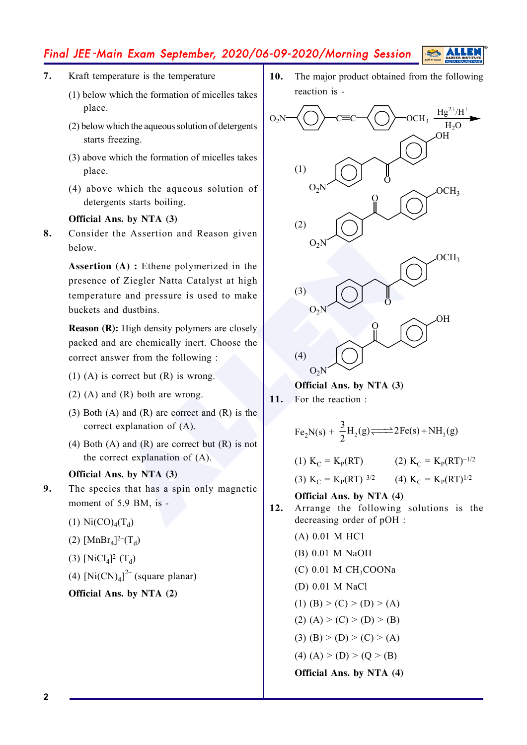- **7.** Kraft temperature is the temperature
	- (1) below which the formation of micelles takes place.
	- (2) below which the aqueous solution of detergents starts freezing.
	- (3) above which the formation of micelles takes place.
	- (4) above which the aqueous solution of detergents starts boiling.

#### **Official Ans. by NTA (3)**

**8.** Consider the Assertion and Reason given below.

> **Assertion (A) :** Ethene polymerized in the presence of Ziegler Natta Catalyst at high temperature and pressure is used to make buckets and dustbins.

> **Reason (R):** High density polymers are closely packed and are chemically inert. Choose the correct answer from the following :

- (1) (A) is correct but  $(R)$  is wrong.
- (2) (A) and (R) both are wrong.
- (3) Both (A) and (R) are correct and (R) is the correct explanation of (A).
- (4) Both (A) and (R) are correct but  $(R)$  is not the correct explanation of (A).

#### **Official Ans. by NTA (3)**

- **9.** The species that has a spin only magnetic moment of 5.9 BM, is -
	- (1)  $\text{Ni(CO)}_{4}(\text{T}_{d})$
	- (2) [ $MnBr_4$ ]<sup>2-</sup>(T<sub>d</sub>)
	- (3) [NiCl<sub>4</sub>]<sup>2-</sup>(T<sub>d</sub>)
	- (4)  $[Ni(CN)<sub>4</sub>]<sup>2–</sup>$  (square planar)
	- **Official Ans. by NTA (2)**

**10.** The major product obtained from the following reaction is -



**Official Ans. by NTA (3) 11.** For the reaction :

$$
Fe2N(s) + \frac{3}{2}H2(g) \longrightarrow 2Fe(s) + NH3(g)
$$

(1)  $K_C = K_P(RT)$  (2) K  $_{\rm C}$  = K<sub>p</sub>(RT)<sup>-1/2</sup> (3)  $K_C = K_P (RT)^{-3/2}$  (4)  $K_C = K_P (RT)^{1/2}$ 

#### **Official Ans. by NTA (4)**

**12.** Arrange the following solutions is the decreasing order of pOH :

- (A) 0.01 M HC1 (B) 0.01 M NaOH (C) 0.01 M CH <sup>3</sup>COONa (D) 0.01 M NaCl
- (1) (B) > (C) > (D) > (A)
- (2)  $(A)$  > (C) > (D) > (B)
- (3) (B) > (D) > (C) > (A)
- (4)  $(A) > (D) > (Q > (B)$

**Official Ans. by NTA (4)**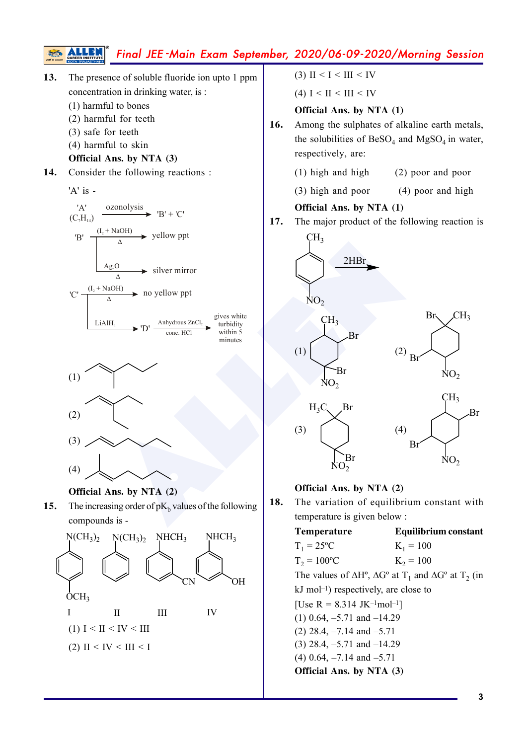

(3) II < I < III < IV

(4)  $I < II < III < IV$ 

#### **Official Ans. by NTA (1)**

- **16.** Among the sulphates of alkaline earth metals, the solubilities of  $\text{BeSO}_4$  and  $\text{MgSO}_4$  in water, respectively, are:
	- (1) high and high (2) poor and poor
	- (3) high and poor (4) poor and high

#### **Official Ans. by NTA (1)**

**17.** The major product of the following reaction is



#### **Official Ans. by NTA (2)**

**18.** The variation of equilibrium constant with temperature is given below :

| <b>Temperature</b>                                                                                                   | Equilibrium constant |
|----------------------------------------------------------------------------------------------------------------------|----------------------|
| $T_1 = 25$ °C                                                                                                        | $K_1 = 100$          |
| $T_2 = 100$ <sup>o</sup> C                                                                                           | $K_2 = 100$          |
| The values of $\Delta H^{\circ}$ , $\Delta G^{\circ}$ at T <sub>1</sub> and $\Delta G^{\circ}$ at T <sub>2</sub> (in |                      |
| $kJ$ mol <sup>-1</sup> ) respectively, are close to                                                                  |                      |
| [Use R = 8.314 JK <sup>-1</sup> mol <sup>-1</sup> ]                                                                  |                      |
| $(1)$ 0.64, -5.71 and -14.29                                                                                         |                      |
| $(2)$ 28.4, $-7.14$ and $-5.71$                                                                                      |                      |
| $(3)$ 28.4, -5.71 and -14.29                                                                                         |                      |
| $(4)$ 0.64, -7.14 and -5.71                                                                                          |                      |
| Official Ans. by NTA (3)                                                                                             |                      |